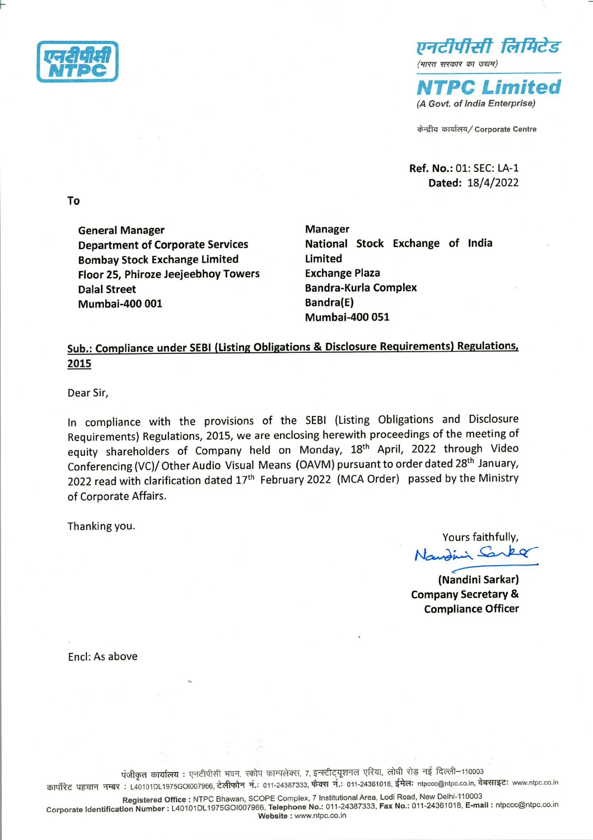

(भारत सरकार का उद्यम)

**NTPC Limited** (A Govt. of India Enterprise)

केन्द्रीय कार्यालय/ Corporate Centre

Ref. No.: 01: SEC: LA-1 Dated: 18/4/2022

To

**General Manager Department of Corporate Services Bombay Stock Exchange Limited** Floor 25, Phiroze Jeejeebhoy Towers **Dalal Street Mumbai-400 001** 

**Manager** National Stock Exchange of India **Limited Exchange Plaza Bandra-Kurla Complex** Bandra(E) **Mumbai-400 051** 

Sub.: Compliance under SEBI (Listing Obligations & Disclosure Requirements) Regulations, 2015

Dear Sir,

In compliance with the provisions of the SEBI (Listing Obligations and Disclosure Requirements) Regulations, 2015, we are enclosing herewith proceedings of the meeting of equity shareholders of Company held on Monday, 18th April, 2022 through Video Conferencing (VC)/ Other Audio Visual Means (OAVM) pursuant to order dated 28<sup>th</sup> January, 2022 read with clarification dated 17<sup>th</sup> February 2022 (MCA Order) passed by the Ministry of Corporate Affairs.

Thanking you.

Yours faithfully, Naudin Sarka

(Nandini Sarkar) **Company Secretary & Compliance Officer** 

Encl: As above

पंजीकृत कार्यालय : एनटीपीसी भवन, स्कोप काम्पलेक्स, 7, इन्स्टीट्यूशनल एरिया, लोधी रोड़ नई दिल्ली-110003 कार्पोरेट पहचान नम्बर : L40101DL1975GOI007966, टेलीफोन नं.: 011-24387333, फैक्स नं.: 011-24361018, ईमेल: ntpccc@ntpc.co.in, वेबसाइट: www.ntpc.co.in

Registered Office : NTPC Bhawan, SCOPE Complex, 7 Institutional Area, Lodi Road, New Delhi-110003 Corporate Identification Number : L40101DL1975GOI007966, Telephone No.: 011-24387333, Fax No.: 011-24361018, E-mail : ntpccc@ntpc.co.in Website : www.ntpc.co.in